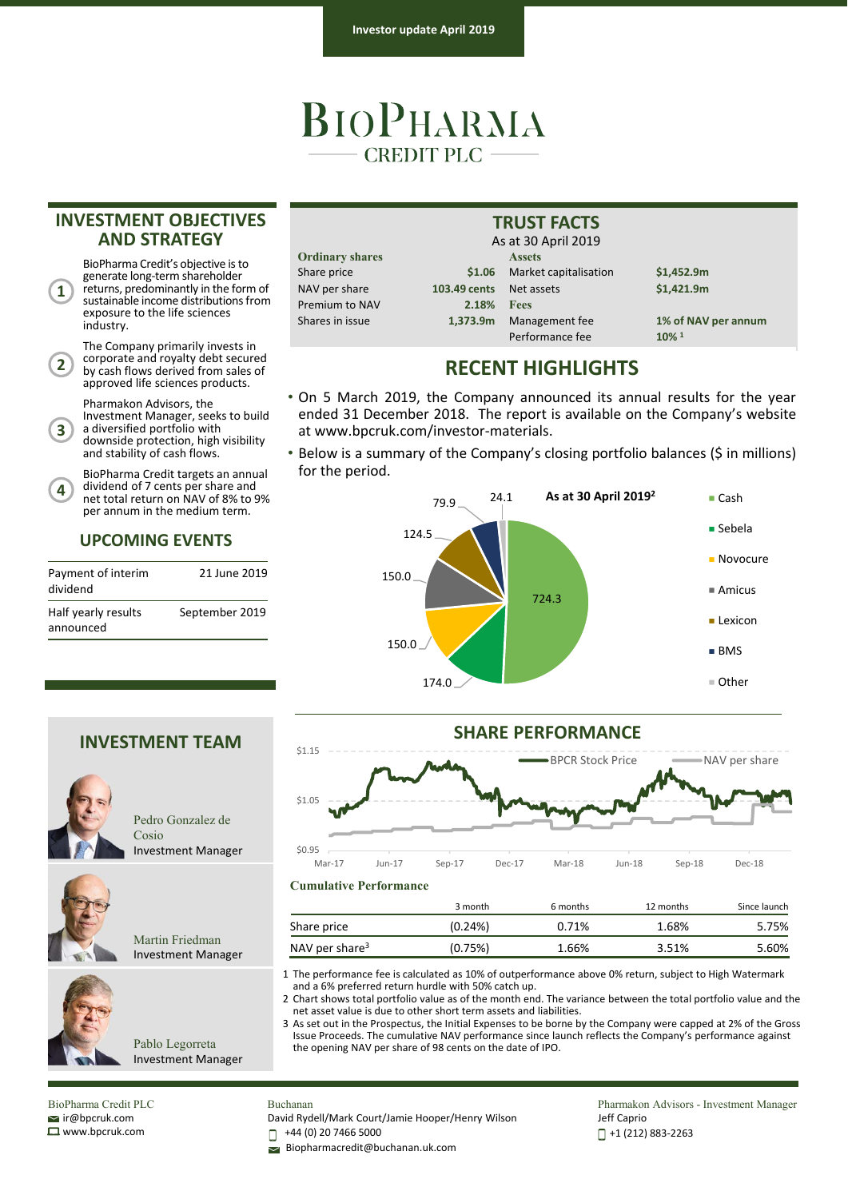## BIOPHARMA  $-$  CREDIT PLC  $-$

#### **INVESTMENT OBJECTIVES AND STRATEGY**

BioPharma Credit's objective is to generate long‐term shareholder returns, predominantly in the form of sustainable income distributions from exposure to the life sciences industry.

**1**

**4**

The Company primarily invests in corporate and royalty debt secured by cash flows derived from sales of approved life sciences products. **2**

Pharmakon Advisors, the

Investment Manager, seeks to build a diversified portfolio with downside protection, high visibility and stability of cash flows. **3**

BioPharma Credit targets an annual dividend of 7 cents per share and net total return on NAV of 8% to 9% per annum in the medium term.

#### **UPCOMING EVENTS**

| Payment of interim<br>dividend   | 21 June 2019   |
|----------------------------------|----------------|
| Half yearly results<br>announced | September 2019 |

| <b>Ordinary shares</b> |  |  |  |
|------------------------|--|--|--|
| Share price            |  |  |  |
| NAV per share          |  |  |  |
| <b>Premium to NAV</b>  |  |  |  |
| Shares in issue        |  |  |  |

Assets Share price **\$1.06** Market capitalisation **\$1,452.9m** NAV per share **103.49 cents** Net assets **\$1,421.9m** Premium to NAV **2.18% Fees** Shares in issue **1,373.9m** Management fee **1% of NAV per annum** Performance fee **10% 1** As at 30 April 2019

### **RECENT HIGHLIGHTS**

**TRUST FACTS**

• On 5 March 2019, the Company announced its annual results for the year ended 31 December 2018. The report is available on the Company's website at www.bpcruk.com/investor‐materials.

• Below is a summary of the Company's closing portfolio balances (\$ in millions) for the period.





3 month 6 months 12 months Since launch

#### **INVESTMENT TEAM**



Pedro Gonzalez de Cosio Investment Manager



Martin Friedman Investment Manager



2 Chart shows total portfolio value as of the month end. The variance between the total portfolio value and the net asset value is due to other short term assets and liabilities.

Share price  $(0.24\%)$  0.71% 1.68% 5.75% NAV per share<sup>3</sup> (0.75%) 1.66% 3.51% 5.60%

3 As set out in the Prospectus, the Initial Expenses to be borne by the Company were capped at 2% of the Gross Issue Proceeds. The cumulative NAV performance since launch reflects the Company's performance against the opening NAV per share of 98 cents on the date of IPO.

Pablo Legorreta Investment Manager

BioPharma Credit PLC ir@bpcruk.com www.bpcruk.com

### Buchanan

David Rydell/Mark Court/Jamie Hooper/Henry Wilson

+44 (0) 20 7466 5000 П

Biopharmacredit@buchanan.uk.com

**Cumulative Performance**

Pharmakon Advisors - Investment Manager Jeff Caprio +1 (212) 883‐2263